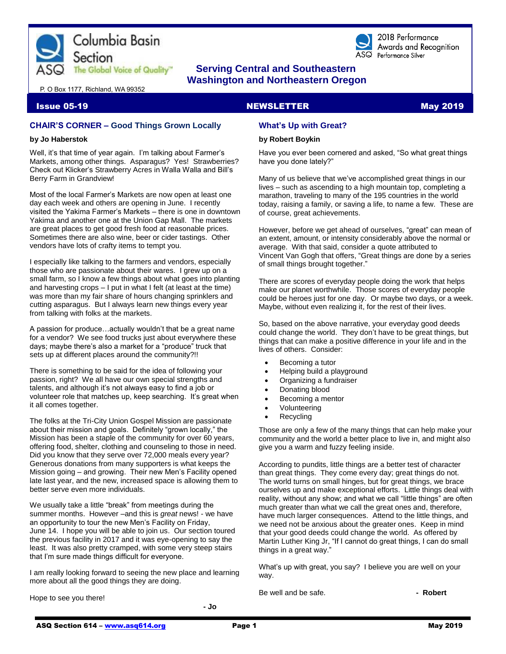

## **The Global Voice of Quality"** Serving Central and Southeastern  **Washington and Northeastern Oregon**

2018 Performance Awards and Recognition ASQ Performance Silver

#### P. O Box 1177, Richland, WA 99352

#### Issue 05-19 NEWSLETTER May 2019

### **CHAIR'S CORNER – Good Things Grown Locally**

#### **by Jo Haberstok**

Well, it's that time of year again. I'm talking about Farmer's Markets, among other things. Asparagus? Yes! Strawberries? Check out Klicker's Strawberry Acres in Walla Walla and Bill's Berry Farm in Grandview!

Most of the local Farmer's Markets are now open at least one day each week and others are opening in June. I recently visited the Yakima Farmer's Markets – there is one in downtown Yakima and another one at the Union Gap Mall. The markets are great places to get good fresh food at reasonable prices. Sometimes there are also wine, beer or cider tastings. Other vendors have lots of crafty items to tempt you.

I especially like talking to the farmers and vendors, especially those who are passionate about their wares. I grew up on a small farm, so I know a few things about what goes into planting and harvesting crops – I put in what I felt (at least at the time) was more than my fair share of hours changing sprinklers and cutting asparagus. But I always learn new things every year from talking with folks at the markets.

A passion for produce…actually wouldn't that be a great name for a vendor? We see food trucks just about everywhere these days; maybe there's also a market for a "produce" truck that sets up at different places around the community?!!

There is something to be said for the idea of following your passion, right? We all have our own special strengths and talents, and although it's not always easy to find a job or volunteer role that matches up, keep searching. It's great when it all comes together.

The folks at the Tri-City Union Gospel Mission are passionate about their mission and goals. Definitely "grown locally," the Mission has been a staple of the community for over 60 years, offering food, shelter, clothing and counseling to those in need. Did you know that they serve over 72,000 meals every year? Generous donations from many supporters is what keeps the Mission going – and growing. Their new Men's Facility opened late last year, and the new, increased space is allowing them to better serve even more individuals.

We usually take a little "break" from meetings during the summer months. However –and this is *great* news! - we have an opportunity to tour the new Men's Facility on Friday, June 14. I hope you will be able to join us. Our section toured the previous facility in 2017 and it was eye-opening to say the least. It was also pretty cramped, with some very steep stairs that I'm sure made things difficult for everyone.

I am really looking forward to seeing the new place and learning more about all the good things they are doing.

Hope to see you there!

**- Jo**

### **What's Up with Great?**

#### **by Robert Boykin**

Have you ever been cornered and asked, "So what great things have you done lately?"

Many of us believe that we've accomplished great things in our lives – such as ascending to a high mountain top, completing a marathon, traveling to many of the 195 countries in the world today, raising a family, or saving a life, to name a few. These are of course, great achievements.

However, before we get ahead of ourselves, "great" can mean of an extent, amount, or intensity considerably above the normal or average. With that said, consider a quote attributed to Vincent Van Gogh that offers, "Great things are done by a series of small things brought together."

There are scores of everyday people doing the work that helps make our planet worthwhile. Those scores of everyday people could be heroes just for one day. Or maybe two days, or a week. Maybe, without even realizing it, for the rest of their lives.

So, based on the above narrative, your everyday good deeds could change the world. They don't have to be great things, but things that can make a positive difference in your life and in the lives of others. Consider:

- Becoming a tutor
- Helping build a playground
- Organizing a fundraiser
- Donating blood
- Becoming a mentor
- Volunteering
- **Recycling**

Those are only a few of the many things that can help make your community and the world a better place to live in, and might also give you a warm and fuzzy feeling inside.

According to pundits, little things are a better test of character than great things. They come every day; great things do not. The world turns on small hinges, but for great things, we brace ourselves up and make exceptional efforts. Little things deal with reality, without any show; and what we call "little things" are often much greater than what we call the great ones and, therefore, have much larger consequences. Attend to the little things, and we need not be anxious about the greater ones. Keep in mind that your good deeds could change the world. As offered by Martin Luther King Jr, "If I cannot do great things, I can do small things in a great way."

What's up with great, you say? I believe you are well on your way.

Be well and be safe. **- Robert**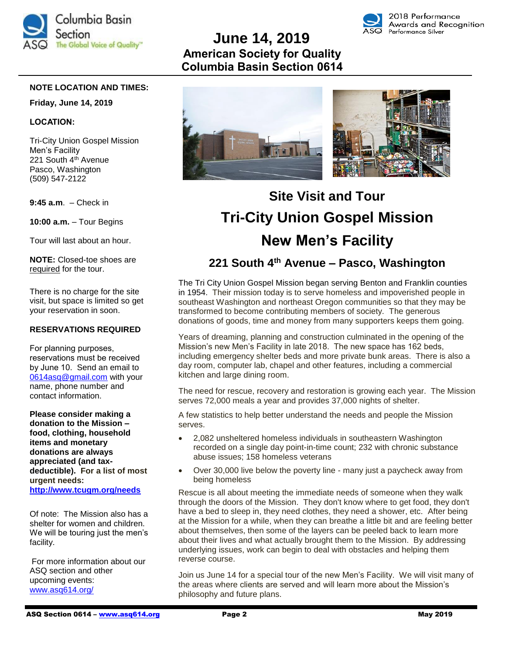

# **June 14, 2019 American Society for Quality Columbia Basin Section 0614**



### **NOTE LOCATION AND TIMES:**

#### **Friday, June 14, 2019**

#### **LOCATION:**

Tri-City Union Gospel Mission Men's Facility 221 South 4<sup>th</sup> Avenue Pasco, Washington (509) 547-2122

**9:45 a.m**. – Check in

**10:00 a.m.** – Tour Begins

Tour will last about an hour.

**NOTE:** Closed-toe shoes are required for the tour.

There is no charge for the site visit, but space is limited so get your reservation in soon.

### **RESERVATIONS REQUIRED**

For planning purposes, reservations must be received by June 10. Send an email to 0614asq@gmail.com with your name, phone number and contact information.

**Please consider making a donation to the Mission – food, clothing, household items and monetary donations are always appreciated (and taxdeductible). For a list of most urgent needs: <http://www.tcugm.org/needs>**

Of note: The Mission also has a shelter for women and children. We will be touring just the men's facility.

For more information about our ASQ section and other upcoming events: [www.asq614.org/](http://www.asq614.org/)



# **Site Visit and Tour Tri-City Union Gospel Mission New Men's Facility**

# **221 South 4th Avenue – Pasco, Washington**

The Tri City Union Gospel Mission began serving Benton and Franklin counties in 1954. Their mission today is to serve homeless and impoverished people in southeast Washington and northeast Oregon communities so that they may be transformed to become contributing members of society. The generous donations of goods, time and money from many supporters keeps them going.

Years of dreaming, planning and construction culminated in the opening of the Mission's new Men's Facility in late 2018. The new space has 162 beds, including emergency shelter beds and more private bunk areas. There is also a day room, computer lab, chapel and other features, including a commercial kitchen and large dining room.

The need for rescue, recovery and restoration is growing each year. The Mission serves 72,000 meals a year and provides 37,000 nights of shelter.

A few statistics to help better understand the needs and people the Mission serves.

- 2,082 unsheltered homeless individuals in southeastern Washington recorded on a single day point-in-time count; 232 with chronic substance abuse issues; 158 homeless veterans
- Over 30,000 live below the poverty line many just a paycheck away from being homeless

Rescue is all about meeting the immediate needs of someone when they walk through the doors of the Mission. They don't know where to get food, they don't have a bed to sleep in, they need clothes, they need a shower, etc. After being at the Mission for a while, when they can breathe a little bit and are feeling better about themselves, then some of the layers can be peeled back to learn more about their lives and what actually brought them to the Mission. By addressing underlying issues, work can begin to deal with obstacles and helping them reverse course.

Join us June 14 for a special tour of the new Men's Facility. We will visit many of the areas where clients are served and will learn more about the Mission's philosophy and future plans.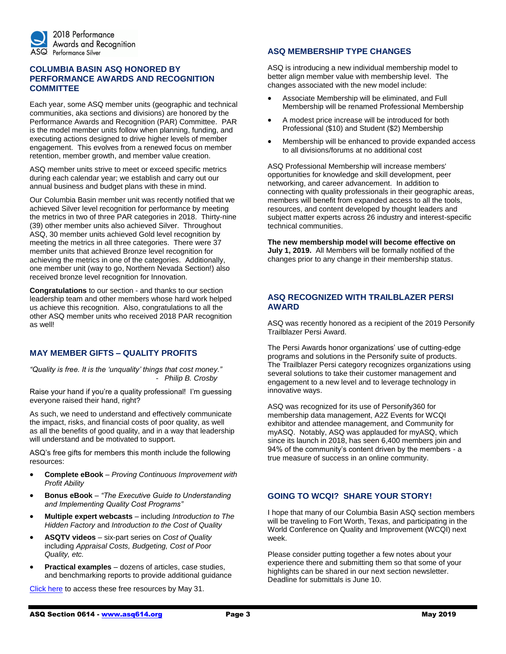

### **COLUMBIA BASIN ASQ HONORED BY PERFORMANCE AWARDS AND RECOGNITION COMMITTEE**

Each year, some ASQ member units (geographic and technical communities, aka sections and divisions) are honored by the Performance Awards and Recognition (PAR) Committee. PAR is the model member units follow when planning, funding, and executing actions designed to drive higher levels of member engagement. This evolves from a renewed focus on member retention, member growth, and member value creation.

ASQ member units strive to meet or exceed specific metrics during each calendar year; we establish and carry out our annual business and budget plans with these in mind.

Our Columbia Basin member unit was recently notified that we achieved Silver level recognition for performance by meeting the metrics in two of three PAR categories in 2018. Thirty-nine (39) other member units also achieved Silver. Throughout ASQ, 30 member units achieved Gold level recognition by meeting the metrics in all three categories. There were 37 member units that achieved Bronze level recognition for achieving the metrics in one of the categories. Additionally, one member unit (way to go, Northern Nevada Section!) also received bronze level recognition for Innovation.

**Congratulations** to our section - and thanks to our section leadership team and other members whose hard work helped us achieve this recognition. Also, congratulations to all the other ASQ member units who received 2018 PAR recognition as well!

### **MAY MEMBER GIFTS – QUALITY PROFITS**

*"Quality is free. It is the 'unquality' things that cost money." - Philip B. Crosby*

Raise your hand if you're a quality professional! I'm guessing everyone raised their hand, right?

As such, we need to understand and effectively communicate the impact, risks, and financial costs of poor quality, as well as all the benefits of good quality, and in a way that leadership will understand and be motivated to support.

ASQ's free gifts for members this month include the following resources:

- **Complete eBook** *Proving Continuous Improvement with Profit Ability*
- **Bonus eBook** *"The Executive Guide to Understanding and Implementing Quality Cost Programs"*
- **Multiple expert webcasts** including *Introduction to The Hidden Factory* and *Introduction to the Cost of Quality*
- **ASQTV videos** six-part series on *Cost of Quality*  including *Appraisal Costs, Budgeting, Cost of Poor Quality, etc.*
- **Practical examples** dozens of articles, case studies, and benchmarking reports to provide additional guidance

[Click here](http://asq.org/membership/members/gift/?utm_source=email) to access these free resources by May 31.

### **ASQ MEMBERSHIP TYPE CHANGES**

ASQ is introducing a new individual membership model to better align member value with membership level. The changes associated with the new model include:

- Associate Membership will be eliminated, and Full Membership will be renamed Professional Membership
- A modest price increase will be introduced for both Professional (\$10) and Student (\$2) Membership
- Membership will be enhanced to provide expanded access to all divisions/forums at no additional cost

ASQ Professional Membership will increase members' opportunities for knowledge and skill development, peer networking, and career advancement. In addition to connecting with quality professionals in their geographic areas, members will benefit from expanded access to all the tools, resources, and content developed by thought leaders and subject matter experts across 26 industry and interest-specific technical communities.

**The new membership model will become effective on July 1, 2019.** All Members will be formally notified of the changes prior to any change in their membership status.

### **ASQ RECOGNIZED WITH TRAILBLAZER PERSI AWARD**

ASQ was recently honored as a recipient of the 2019 Personify Trailblazer Persi Award.

The Persi Awards honor organizations' use of cutting-edge programs and solutions in the Personify suite of products. The Trailblazer Persi category recognizes organizations using several solutions to take their customer management and engagement to a new level and to leverage technology in innovative ways.

ASQ was recognized for its use of Personify360 for membership data management, A2Z Events for WCQI exhibitor and attendee management, and Community for myASQ. Notably, ASQ was applauded for myASQ, which since its launch in 2018, has seen 6,400 members join and 94% of the community's content driven by the members - a true measure of success in an online community.

### **GOING TO WCQI? SHARE YOUR STORY!**

I hope that many of our Columbia Basin ASQ section members will be traveling to Fort Worth, Texas, and participating in the World Conference on Quality and Improvement (WCQI) next week.

Please consider putting together a few notes about your experience there and submitting them so that some of your highlights can be shared in our next section newsletter. Deadline for submittals is June 10.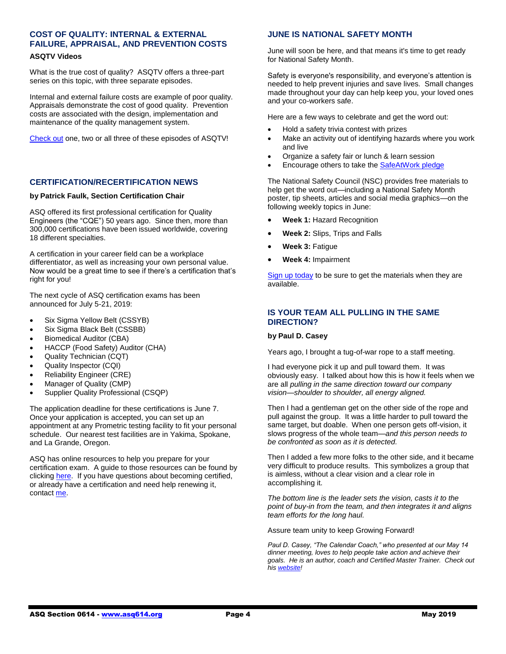# **COST OF QUALITY: INTERNAL & EXTERNAL FAILURE, APPRAISAL, AND PREVENTION COSTS**

### **ASQTV Videos**

What is the true cost of quality? ASQTV offers a three-part series on this topic, with three separate episodes.

Internal and external failure costs are example of poor quality. Appraisals demonstrate the cost of good quality. Prevention costs are associated with the design, implementation and maintenance of the quality management system.

[Check out](https://videos.asq.org/cost-of-quality-internal-and-external-failure-costs) one, two or all three of these episodes of ASQTV!

### **CERTIFICATION/RECERTIFICATION NEWS**

#### **by Patrick Faulk, Section Certification Chair**

ASQ offered its first professional certification for Quality Engineers (the "CQE") 50 years ago. Since then, more than 300,000 certifications have been issued worldwide, covering 18 different specialties.

A certification in your career field can be a workplace differentiator, as well as increasing your own personal value. Now would be a great time to see if there's a certification that's right for you!

The next cycle of ASQ certification exams has been announced for July 5-21, 2019:

- Six Sigma Yellow Belt (CSSYB)
- Six Sigma Black Belt (CSSBB)
- Biomedical Auditor (CBA)
- HACCP (Food Safety) Auditor (CHA)
- Quality Technician (CQT)
- Quality Inspector (CQI)
- Reliability Engineer (CRE)
- Manager of Quality (CMP)
- Supplier Quality Professional (CSQP)

The application deadline for these certifications is June 7. Once your application is accepted, you can set up an appointment at any Prometric testing facility to fit your personal schedule. Our nearest test facilities are in Yakima, Spokane, and La Grande, Oregon.

ASQ has online resources to help you prepare for your certification exam. A guide to those resources can be found by clicking [here.](http://www.asq.org/cert) If you have questions about becoming certified, or already have a certification and need help renewing it, contac[t me.](mailto:PRFAULK@bechtel.com)

### **JUNE IS NATIONAL SAFETY MONTH**

June will soon be here, and that means it's time to get ready for National Safety Month.

Safety is everyone's responsibility, and everyone's attention is needed to help prevent injuries and save lives. Small changes made throughout your day can help keep you, your loved ones and your co-workers safe.

Here are a few ways to celebrate and get the word out:

- Hold a safety trivia contest with prizes
- Make an activity out of identifying hazards where you work and live
- Organize a safety fair or lunch & learn session
- Encourage others to take the [SafeAtWork pledge](http://safety.nsc.org/safeatworkpledge)

The National Safety Council (NSC) provides free materials to help get the word out—including a National Safety Month poster, tip sheets, articles and social media graphics—on the following weekly topics in June:

- **Week 1:** Hazard Recognition
- **Week 2:** Slips, Trips and Falls
- **Week 3:** Fatigue
- **Week 4:** Impairment

[Sign up today](https://safety.nsc.org/e2t/c/*W7PrSxY5SFFGgF5j_BSkSFRw0/*W3SsZZD478bTpVh2MCH6GpyD_0/5/f18dQhb0Sq5F4fpDYPW2jk3gG4c5tTsW7sDbV257jVLKW6Dk5Tq1Nvw7TMM7Yn3SJ3KSN5vDj0fNM4PNVTGDCw1n8QHFN8s3_6MRPFC4W7D_j4h1CpvkBW1S1BRM1G5mchW7w2sPk2Nz__SW1HltsQ2VtC3zW7t5r0h4jMKn5VbbhHX1S3QvlW73Dcj173M1DwW3WdfwW7dDxTNW7mWsnX7dzcsSW51vDDW56vHg5W69NG1w6Pr3nqW1Tc4dZ33FCGbW4sxsC81Qk6TwW1txG9N6GsfdKW8XNh8_7Hn-04W3hlRJR8gG9QRW8jKPPw3z7yqgW8CQD6D3SppD3W5Rx66_12r6vpW5FyT865KBXKyW3Zgyrs5BFM28W5vFqhF18X9k2N8nCJJkXxr92N33wP9YYrFDmW5GFZly2-YMk6W3bk8Xy5JzzPcW7yF7105H7WjpW74p6tn73QsnmW1d5pgb52TGWhW28HTYm7Px8wYW2ZjM4n3mxJkVW24RqJ865k0FcW3ZzPZ_8ZwQ9rW4wkNCF80_JzhW8j7zwN6KGPPRW5V0WDv73zyzjW70RWLq3btL0f111) to be sure to get the materials when they are available.

### **IS YOUR TEAM ALL PULLING IN THE SAME DIRECTION?**

#### **by Paul D. Casey**

Years ago, I brought a tug-of-war rope to a staff meeting.

I had everyone pick it up and pull toward them. It was obviously easy. I talked about how this is how it feels when we are all *pulling in the same direction toward our company vision—shoulder to shoulder, all energy aligned.*

Then I had a gentleman get on the other side of the rope and pull against the group. It was a little harder to pull toward the same target, but doable. When one person gets off-vision, it slows progress of the whole team—*and this person needs to be confronted as soon as it is detected.* 

Then I added a few more folks to the other side, and it became very difficult to produce results. This symbolizes a group that is aimless, without a clear vision and a clear role in accomplishing it.

*The bottom line is the leader sets the vision, casts it to the point of buy-in from the team, and then integrates it and aligns team efforts for the long haul.*

Assure team unity to keep Growing Forward!

*Paul D. Casey, "The Calendar Coach," who presented at our May 14 dinner meeting, loves to help people take action and achieve their goals. He is an author, coach and Certified Master Trainer. Check out hi[s website!](https://www.paulcasey.org/)*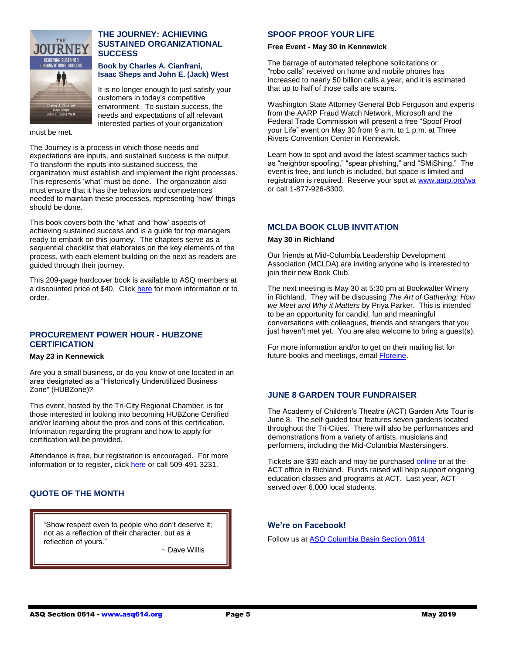

### **THE JOURNEY: ACHIEVING SUSTAINED ORGANIZATIONAL SUCCESS**

#### **Book by Charles A. Cianfrani, Isaac Sheps and John E. (Jack) West**

It is no longer enough to just satisfy your customers in today's competitive environment. To sustain success, the needs and expectations of all relevant interested parties of your organization

must be met.

The Journey is a process in which those needs and expectations are inputs, and sustained success is the output. To transform the inputs into sustained success, the organization must establish and implement the right processes. This represents 'what' must be done. The organization also must ensure that it has the behaviors and competences needed to maintain these processes, representing 'how' things should be done.

This book covers both the 'what' and 'how' aspects of achieving sustained success and is a guide for top managers ready to embark on this journey. The chapters serve as a sequential checklist that elaborates on the key elements of the process, with each element building on the next as readers are guided through their journey.

This 209-page hardcover book is available to ASQ members at a discounted price of \$40. Click [here](https://asq.org/quality-press/display-item?item=H1561) for more information or to order.

### **PROCUREMENT POWER HOUR - HUBZONE CERTIFICATION**

#### **May 23 in Kennewick**

Are you a small business, or do you know of one located in an area designated as a "Historically Underutilized Business Zone" (HUBZone)?

This event, hosted by the Tri-City Regional Chamber, is for those interested in looking into becoming HUBZone Certified and/or learning about the pros and cons of this certification. Information regarding the program and how to apply for certification will be provided.

Attendance is free, but registration is encouraged. For more information or to register, clic[k here](https://washingtonptac.ecenterdirect.com/events/851638) or call 509-491-3231.

### **QUOTE OF THE MONTH**

"Show respect even to people who don't deserve it; not as a reflection of their character, but as a reflection of yours."

~ John Robert Wooden

~ Dave Willis

### **SPOOF PROOF YOUR LIFE**

#### **Free Event - May 30 in Kennewick**

The barrage of automated telephone solicitations or "robo calls" received on home and mobile phones has increased to nearly 50 billion calls a year, and it is estimated that up to half of those calls are scams.

Washington State Attorney General Bob Ferguson and experts from the AARP Fraud Watch Network, Microsoft and the Federal Trade Commission will present a free "Spoof Proof your Life" event on May 30 from 9 a.m. to 1 p.m. at Three Rivers Convention Center in Kennewick.

Learn how to spot and avoid the latest scammer tactics such as "neighbor spoofing," "spear phishing," and "SMiShing." The event is free, and lunch is included, but space is limited and registration is required. Reserve your spot at [www.aarp.org/wa](http://www.aarp.org/wa) or call 1-877-926-8300.

### **MCLDA BOOK CLUB INVITATION**

#### **May 30 in Richland**

Our friends at Mid-Columbia Leadership Development Association (MCLDA) are inviting anyone who is interested to join their new Book Club.

The next meeting is May 30 at 5:30 pm at Bookwalter Winery in Richland. They will be discussing *The Art of Gathering: How we Meet and Why it Matters* by Priya Parker. This is intended to be an opportunity for candid, fun and meaningful conversations with colleagues, friends and strangers that you just haven't met yet. You are also welcome to bring a guest(s).

For more information and/or to get on their mailing list for future books and meetings, email [Floreine.](mailto:floreine_m_turlington@rl.gov)

### **JUNE 8 GARDEN TOUR FUNDRAISER**

The Academy of Children's Theatre (ACT) Garden Arts Tour is June 8. The self-guided tour features seven gardens located throughout the Tri-Cities. There will also be performances and demonstrations from a variety of artists, musicians and performers, including the Mid-Columbia Mastersingers.

Tickets are \$30 each and may be purchased [online](https://app.arts-people.com/index.php?ticketing=aoct) or at the ACT office in Richland. Funds raised will help support ongoing education classes and programs at ACT. Last year, ACT served over 6,000 local students.

### **We're on Facebook!**

Follow us a[t ASQ Columbia Basin Section 0614](https://www.facebook.com/ASQ-Columbia-Basin-Section-0614-2182648981975168/)